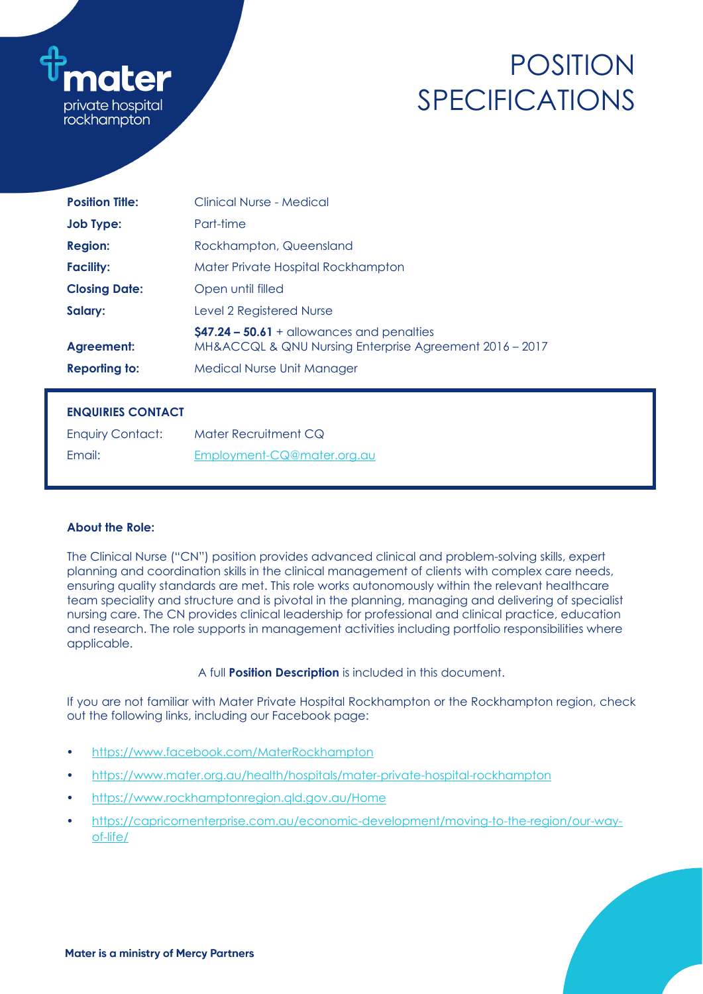

# POSITION SPECIFICATIONS

| <b>Position Title:</b> | Clinical Nurse - Medical                                                                               |
|------------------------|--------------------------------------------------------------------------------------------------------|
| <b>Job Type:</b>       | Part-time                                                                                              |
| <b>Region:</b>         | Rockhampton, Queensland                                                                                |
| <b>Facility:</b>       | Mater Private Hospital Rockhampton                                                                     |
| <b>Closing Date:</b>   | Open until filled                                                                                      |
| Salary:                | Level 2 Registered Nurse                                                                               |
| Agreement:             | $$47.24 - 50.61 +$ allowances and penalties<br>MH&ACCQL & QNU Nursing Enterprise Agreement 2016 - 2017 |
| <b>Reporting to:</b>   | <b>Medical Nurse Unit Manager</b>                                                                      |

# **ENQUIRIES CONTACT**

| <b>Enquiry Contact:</b> | Mater Recruitment CQ       |
|-------------------------|----------------------------|
| Email:                  | Employment-CQ@mater.org.au |

# **About the Role:**

The Clinical Nurse ("CN") position provides advanced clinical and problem-solving skills, expert planning and coordination skills in the clinical management of clients with complex care needs, ensuring quality standards are met. This role works autonomously within the relevant healthcare team speciality and structure and is pivotal in the planning, managing and delivering of specialist nursing care. The CN provides clinical leadership for professional and clinical practice, education and research. The role supports in management activities including portfolio responsibilities where applicable.

#### A full **Position Description** is included in this document.

If you are not familiar with Mater Private Hospital Rockhampton or the Rockhampton region, check out the following links, including our Facebook page:

- <https://www.facebook.com/MaterRockhampton>
- <https://www.mater.org.au/health/hospitals/mater-private-hospital-rockhampton>
- <https://www.rockhamptonregion.qld.gov.au/Home>
- [https://capricornenterprise.com.au/economic-development/moving-to-the-region/our-way](https://capricornenterprise.com.au/economic-development/moving-to-the-region/our-way-of-life/)[of-life/](https://capricornenterprise.com.au/economic-development/moving-to-the-region/our-way-of-life/)

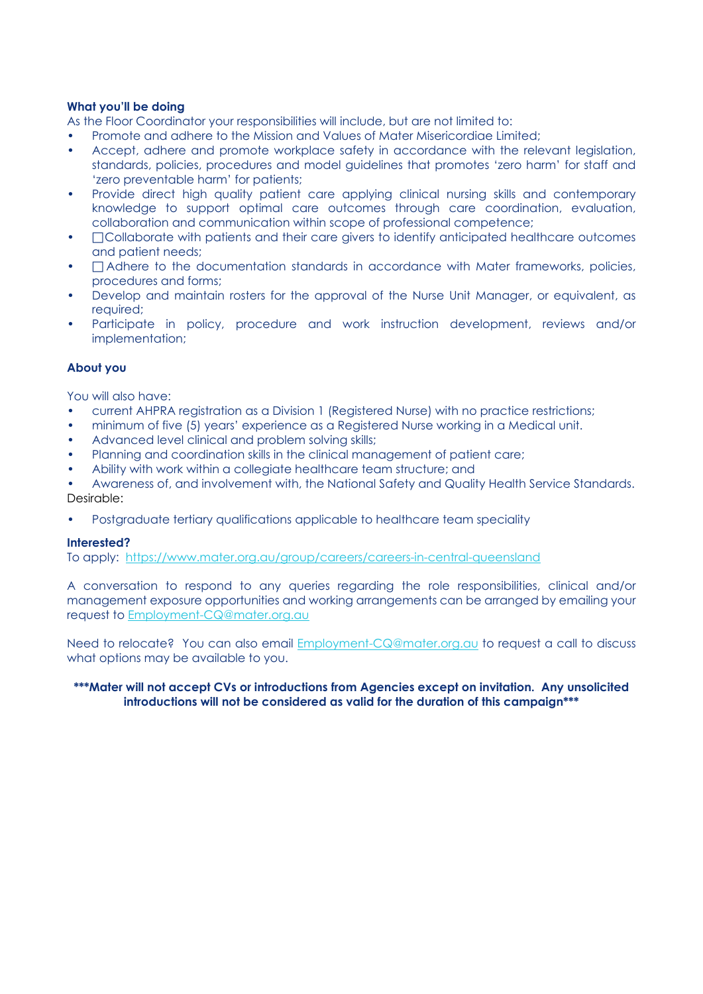### **What you'll be doing**

As the Floor Coordinator your responsibilities will include, but are not limited to:

- Promote and adhere to the Mission and Values of Mater Misericordiae Limited;
- Accept, adhere and promote workplace safety in accordance with the relevant legislation, standards, policies, procedures and model guidelines that promotes 'zero harm' for staff and 'zero preventable harm' for patients;
- Provide direct high quality patient care applying clinical nursing skills and contemporary knowledge to support optimal care outcomes through care coordination, evaluation, collaboration and communication within scope of professional competence;
- $\Box$  Collaborate with patients and their care givers to identify anticipated healthcare outcomes and patient needs;
- $\Box$  Adhere to the documentation standards in accordance with Mater frameworks, policies, procedures and forms;
- Develop and maintain rosters for the approval of the Nurse Unit Manager, or equivalent, as required:
- Participate in policy, procedure and work instruction development, reviews and/or implementation;

#### **About you**

You will also have:

- current AHPRA registration as a Division 1 (Registered Nurse) with no practice restrictions;
- minimum of five (5) years' experience as a Registered Nurse working in a Medical unit.
- Advanced level clinical and problem solving skills;
- Planning and coordination skills in the clinical management of patient care;
- Ability with work within a collegiate healthcare team structure; and

• Awareness of, and involvement with, the National Safety and Quality Health Service Standards. Desirable:

• Postgraduate tertiary qualifications applicable to healthcare team speciality

#### **Interested?**

To apply: <https://www.mater.org.au/group/careers/careers-in-central-queensland>

A conversation to respond to any queries regarding the role responsibilities, clinical and/or management exposure opportunities and working arrangements can be arranged by emailing your request to [Employment-CQ@mater.org.au](mailto:Employment-CQ@mater.org.au) 

Need to relocate? You can also email [Employment-CQ@mater.org.au](mailto:Employment-CQ@mater.org.au) to request a call to discuss what options may be available to you.

#### **\*\*\*Mater will not accept CVs or introductions from Agencies except on invitation. Any unsolicited introductions will not be considered as valid for the duration of this campaign\*\*\***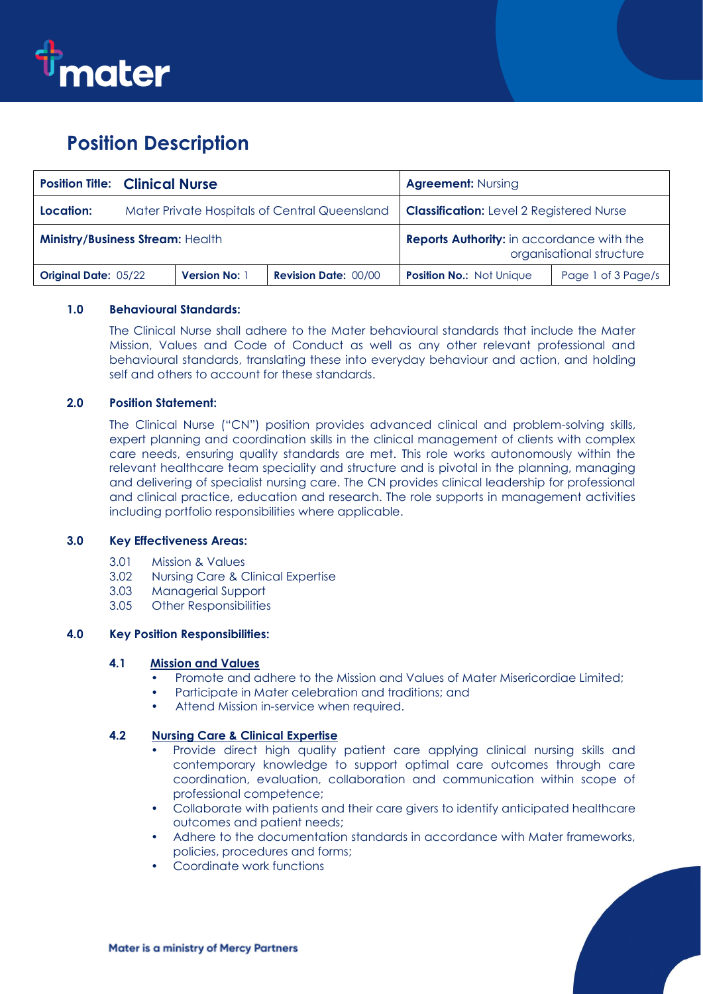

# **Position Description**

|                                  | <b>Position Title: Clinical Nurse</b>         |                      |                                                                              | <b>Agreement: Nursing</b>                       |                    |
|----------------------------------|-----------------------------------------------|----------------------|------------------------------------------------------------------------------|-------------------------------------------------|--------------------|
| Location:                        | Mater Private Hospitals of Central Queensland |                      |                                                                              | <b>Classification:</b> Level 2 Registered Nurse |                    |
| Ministry/Business Stream: Health |                                               |                      | <b>Reports Authority:</b> in accordance with the<br>organisational structure |                                                 |                    |
| <b>Original Date: 05/22</b>      |                                               | <b>Version No: 1</b> | <b>Revision Date: 00/00</b>                                                  | <b>Position No.: Not Unique</b>                 | Page 1 of 3 Page/s |

## **1.0 Behavioural Standards:**

The Clinical Nurse shall adhere to the Mater behavioural standards that include the Mater Mission, Values and Code of Conduct as well as any other relevant professional and behavioural standards, translating these into everyday behaviour and action, and holding self and others to account for these standards.

## **2.0 Position Statement:**

The Clinical Nurse ("CN") position provides advanced clinical and problem-solving skills, expert planning and coordination skills in the clinical management of clients with complex care needs, ensuring quality standards are met. This role works autonomously within the relevant healthcare team speciality and structure and is pivotal in the planning, managing and delivering of specialist nursing care. The CN provides clinical leadership for professional and clinical practice, education and research. The role supports in management activities including portfolio responsibilities where applicable.

#### **3.0 Key Effectiveness Areas:**

- 3.01 Mission & Values
- 3.02 Nursing Care & Clinical Expertise
- 3.03 Managerial Support
- 3.05 Other Responsibilities

#### **4.0 Key Position Responsibilities:**

#### **4.1 Mission and Values**

- Promote and adhere to the Mission and Values of Mater Misericordiae Limited;
- Participate in Mater celebration and traditions; and
- Attend Mission in-service when required.

## **4.2 Nursing Care & Clinical Expertise**

- Provide direct high quality patient care applying clinical nursing skills and contemporary knowledge to support optimal care outcomes through care coordination, evaluation, collaboration and communication within scope of professional competence;
- Collaborate with patients and their care givers to identify anticipated healthcare outcomes and patient needs;
- Adhere to the documentation standards in accordance with Mater frameworks, policies, procedures and forms;
- Coordinate work functions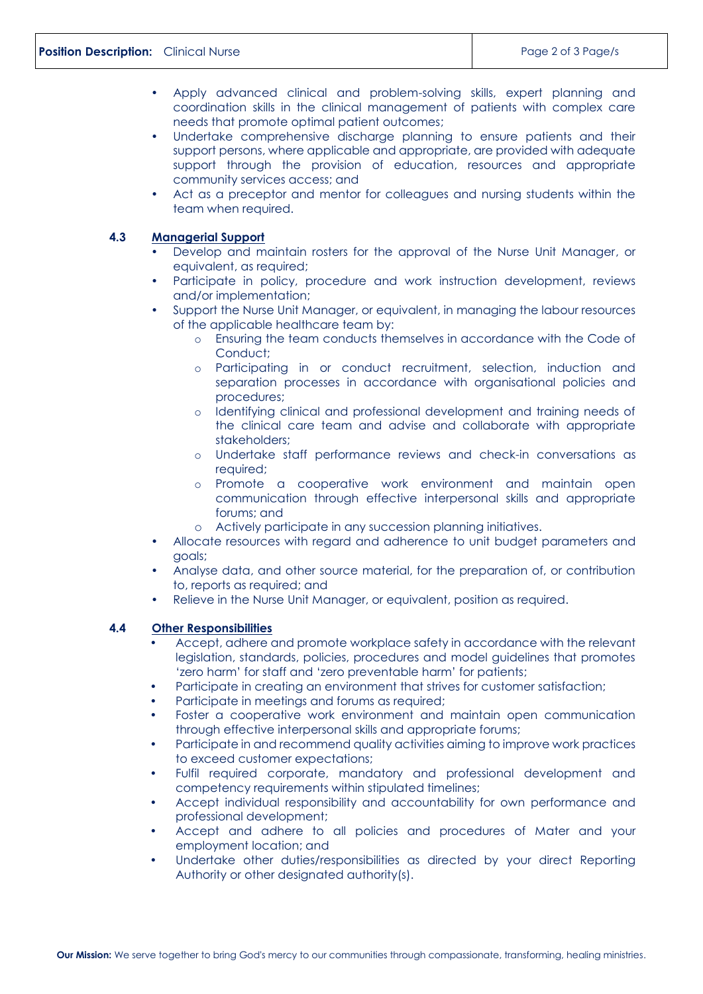- Apply advanced clinical and problem-solving skills, expert planning and coordination skills in the clinical management of patients with complex care needs that promote optimal patient outcomes;
- Undertake comprehensive discharge planning to ensure patients and their support persons, where applicable and appropriate, are provided with adequate support through the provision of education, resources and appropriate community services access; and
- Act as a preceptor and mentor for colleagues and nursing students within the team when required.

#### **4.3 Managerial Support**

- Develop and maintain rosters for the approval of the Nurse Unit Manager, or equivalent, as required;
- Participate in policy, procedure and work instruction development, reviews and/or implementation;
- Support the Nurse Unit Manager, or equivalent, in managing the labour resources of the applicable healthcare team by:
	- o Ensuring the team conducts themselves in accordance with the Code of Conduct;
	- o Participating in or conduct recruitment, selection, induction and separation processes in accordance with organisational policies and procedures;
	- o Identifying clinical and professional development and training needs of the clinical care team and advise and collaborate with appropriate stakeholders;
	- o Undertake staff performance reviews and check-in conversations as required;
	- o Promote a cooperative work environment and maintain open communication through effective interpersonal skills and appropriate forums; and
	- o Actively participate in any succession planning initiatives.
- Allocate resources with regard and adherence to unit budget parameters and goals;
- Analyse data, and other source material, for the preparation of, or contribution to, reports as required; and
- Relieve in the Nurse Unit Manager, or equivalent, position as required.

#### **4.4 Other Responsibilities**

- Accept, adhere and promote workplace safety in accordance with the relevant legislation, standards, policies, procedures and model guidelines that promotes 'zero harm' for staff and 'zero preventable harm' for patients;
- Participate in creating an environment that strives for customer satisfaction;
- Participate in meetings and forums as required;
- Foster a cooperative work environment and maintain open communication through effective interpersonal skills and appropriate forums;
- Participate in and recommend quality activities aiming to improve work practices to exceed customer expectations;
- Fulfil required corporate, mandatory and professional development and competency requirements within stipulated timelines;
- Accept individual responsibility and accountability for own performance and professional development;
- Accept and adhere to all policies and procedures of Mater and your employment location; and
- Undertake other duties/responsibilities as directed by your direct Reporting Authority or other designated authority(s).